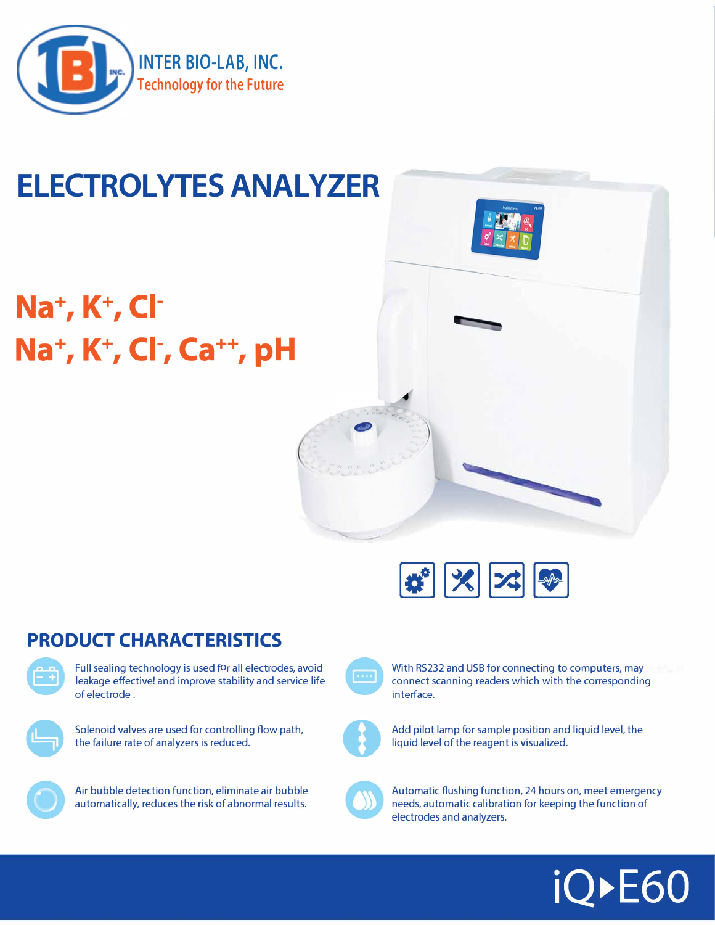

## **ELECTROLYTES ANALYZER**

# **Na<sup>+</sup> , K<sup>+</sup> , Cl-Na<sup>+</sup> , K<sup>+</sup> , Cl-, Ca++, pH**



------

## **PRODUCT CHARACTERISTICS**



Full sealing technology is used for all electrodes, avoid leakage effective! and improve stability and service life of electrode .



Solenoid valves are used for controlling flow path, the failure rate of analyzers is reduced.



Air bubble detection function, eliminate air bubble automatically, reduces the risk of abnormal results.



With RS232 and USB for connecting to computers, may connect scanning readers which with the corresponding interface.



Add pilot lamp for sample position and liquid level, the liquid level of the reagent is visualized.



Automatic flushing function, 24 hours on, meet emergency needs, automatic calibration for keeping the function of electrodes and analyzers.

# **iQ►E60**